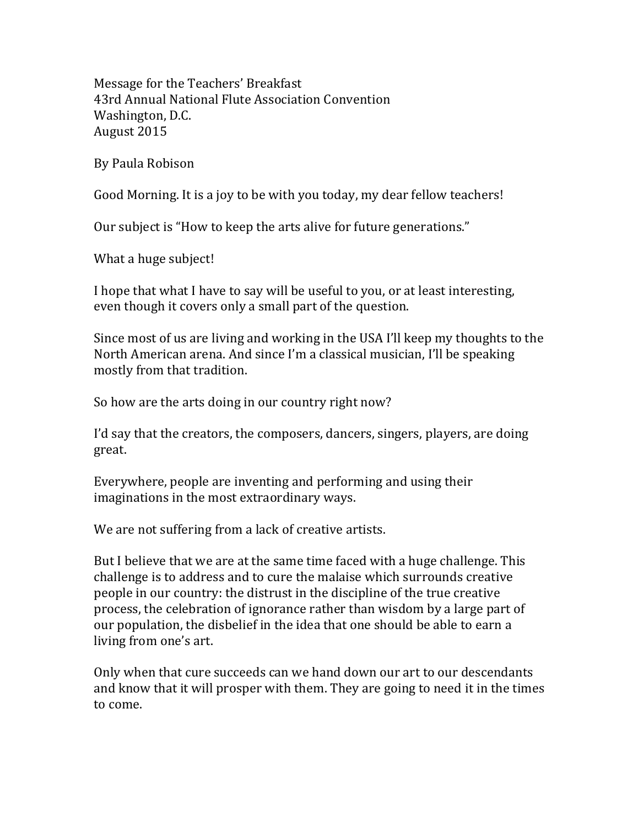Message for the Teachers' Breakfast 43rd Annual National Flute Association Convention Washington, D.C. August 2015

By Paula Robison

Good Morning. It is a joy to be with you today, my dear fellow teachers!

Our subject is "How to keep the arts alive for future generations."

What a huge subject!

I hope that what I have to say will be useful to you, or at least interesting, even though it covers only a small part of the question.

Since most of us are living and working in the USA I'll keep my thoughts to the North American arena. And since I'm a classical musician, I'll be speaking mostly from that tradition.

So how are the arts doing in our country right now?

I'd say that the creators, the composers, dancers, singers, players, are doing great.

Everywhere, people are inventing and performing and using their imaginations in the most extraordinary ways.

We are not suffering from a lack of creative artists.

But I believe that we are at the same time faced with a huge challenge. This challenge is to address and to cure the malaise which surrounds creative people in our country: the distrust in the discipline of the true creative process, the celebration of ignorance rather than wisdom by a large part of our population, the disbelief in the idea that one should be able to earn a living from one's art.

Only when that cure succeeds can we hand down our art to our descendants and know that it will prosper with them. They are going to need it in the times to come.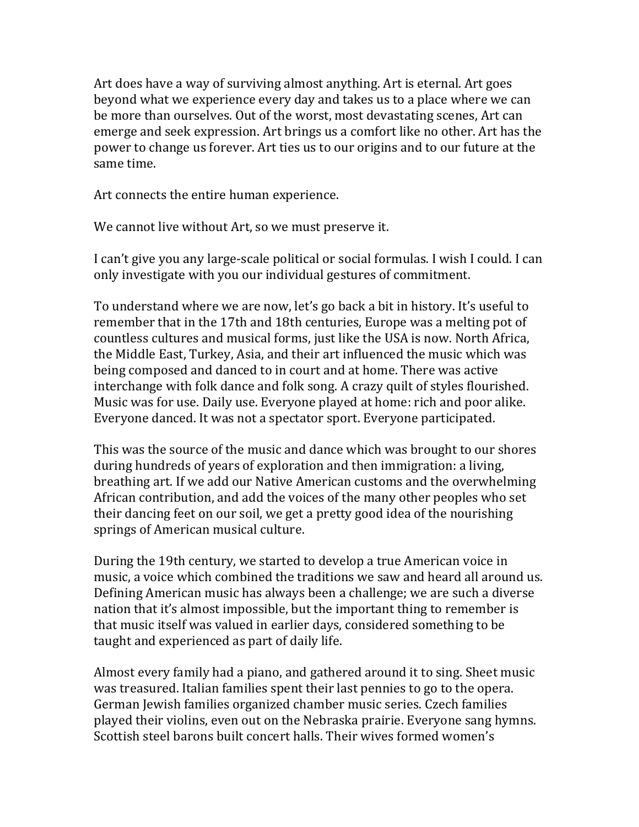Art does have a way of surviving almost anything. Art is eternal. Art goes beyond what we experience every day and takes us to a place where we can be more than ourselves. Out of the worst, most devastating scenes, Art can emerge and seek expression. Art brings us a comfort like no other. Art has the power to change us forever. Art ties us to our origins and to our future at the same time.

Art connects the entire human experience.

We cannot live without Art, so we must preserve it.

I can't give you any large-scale political or social formulas. I wish I could. I can only investigate with you our individual gestures of commitment.

To understand where we are now, let's go back a bit in history. It's useful to remember that in the 17th and 18th centuries, Europe was a melting pot of countless cultures and musical forms, just like the USA is now. North Africa, the Middle East, Turkey, Asia, and their art influenced the music which was being composed and danced to in court and at home. There was active interchange with folk dance and folk song. A crazy quilt of styles flourished. Music was for use. Daily use. Everyone played at home: rich and poor alike. Everyone danced. It was not a spectator sport. Everyone participated.

This was the source of the music and dance which was brought to our shores during hundreds of years of exploration and then immigration: a living, breathing art. If we add our Native American customs and the overwhelming African contribution, and add the voices of the many other peoples who set their dancing feet on our soil, we get a pretty good idea of the nourishing springs of American musical culture.

During the 19th century, we started to develop a true American voice in music, a voice which combined the traditions we saw and heard all around us. Defining American music has always been a challenge; we are such a diverse nation that it's almost impossible, but the important thing to remember is that music itself was valued in earlier days, considered something to be taught and experienced as part of daily life.

Almost every family had a piano, and gathered around it to sing. Sheet music was treasured. Italian families spent their last pennies to go to the opera. German Jewish families organized chamber music series. Czech families played their violins, even out on the Nebraska prairie. Everyone sang hymns. Scottish steel barons built concert halls. Their wives formed women's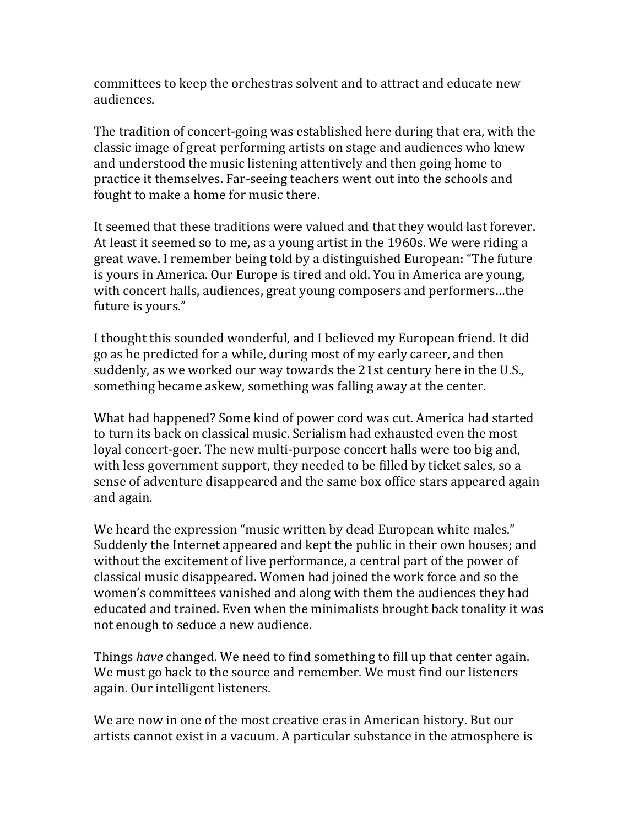committees to keep the orchestras solvent and to attract and educate new audiences.

The tradition of concert-going was established here during that era, with the classic image of great performing artists on stage and audiences who knew and understood the music listening attentively and then going home to practice it themselves. Far-seeing teachers went out into the schools and fought to make a home for music there.

It seemed that these traditions were valued and that they would last forever. At least it seemed so to me, as a young artist in the 1960s. We were riding a great wave. I remember being told by a distinguished European: "The future is yours in America. Our Europe is tired and old. You in America are young, with concert halls, audiences, great young composers and performers…the future is yours."

I thought this sounded wonderful, and I believed my European friend. It did go as he predicted for a while, during most of my early career, and then suddenly, as we worked our way towards the 21st century here in the U.S., something became askew, something was falling away at the center.

What had happened? Some kind of power cord was cut. America had started to turn its back on classical music. Serialism had exhausted even the most loyal concert-goer. The new multi-purpose concert halls were too big and, with less government support, they needed to be filled by ticket sales, so a sense of adventure disappeared and the same box office stars appeared again and again.

We heard the expression "music written by dead European white males." Suddenly the Internet appeared and kept the public in their own houses; and without the excitement of live performance, a central part of the power of classical music disappeared. Women had joined the work force and so the women's committees vanished and along with them the audiences they had educated and trained. Even when the minimalists brought back tonality it was not enough to seduce a new audience.

Things *have* changed. We need to find something to fill up that center again. We must go back to the source and remember. We must find our listeners again. Our intelligent listeners.

We are now in one of the most creative eras in American history. But our artists cannot exist in a vacuum. A particular substance in the atmosphere is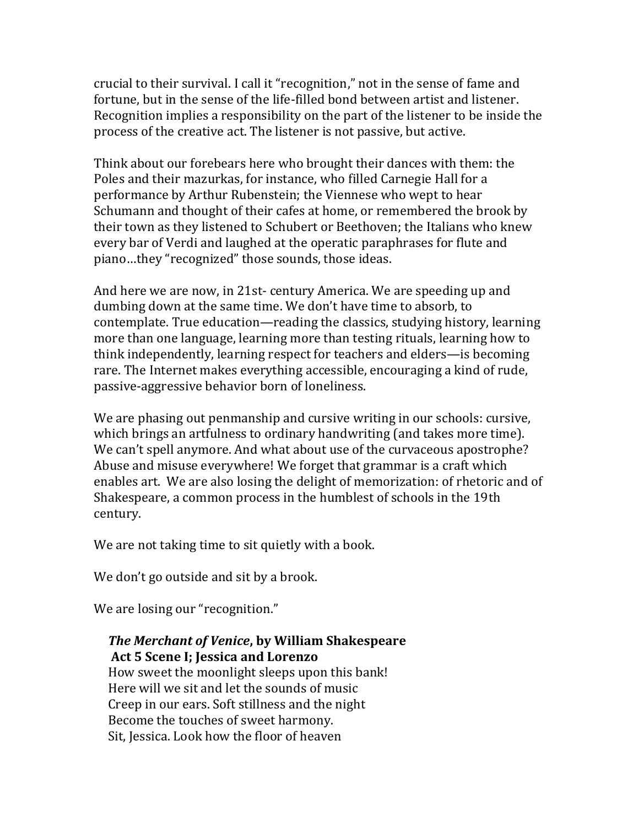crucial to their survival. I call it "recognition," not in the sense of fame and fortune, but in the sense of the life-filled bond between artist and listener. Recognition implies a responsibility on the part of the listener to be inside the process of the creative act. The listener is not passive, but active.

Think about our forebears here who brought their dances with them: the Poles and their mazurkas, for instance, who filled Carnegie Hall for a performance by Arthur Rubenstein; the Viennese who wept to hear Schumann and thought of their cafes at home, or remembered the brook by their town as they listened to Schubert or Beethoven; the Italians who knew every bar of Verdi and laughed at the operatic paraphrases for flute and piano…they "recognized" those sounds, those ideas.

And here we are now, in 21st- century America. We are speeding up and dumbing down at the same time. We don't have time to absorb, to contemplate. True education—reading the classics, studying history, learning more than one language, learning more than testing rituals, learning how to think independently, learning respect for teachers and elders—is becoming rare. The Internet makes everything accessible, encouraging a kind of rude, passive-aggressive behavior born of loneliness.

We are phasing out penmanship and cursive writing in our schools: cursive, which brings an artfulness to ordinary handwriting (and takes more time). We can't spell anymore. And what about use of the curvaceous apostrophe? Abuse and misuse everywhere! We forget that grammar is a craft which enables art. We are also losing the delight of memorization: of rhetoric and of Shakespeare, a common process in the humblest of schools in the 19th century.

We are not taking time to sit quietly with a book.

We don't go outside and sit by a brook.

We are losing our "recognition."

## *The Merchant of Venice***, by William Shakespeare Act 5 Scene I; Jessica and Lorenzo**

How sweet the moonlight sleeps upon this bank! Here will we sit and let the sounds of music Creep in our ears. Soft stillness and the night Become the touches of sweet harmony. Sit, Jessica. Look how the floor of heaven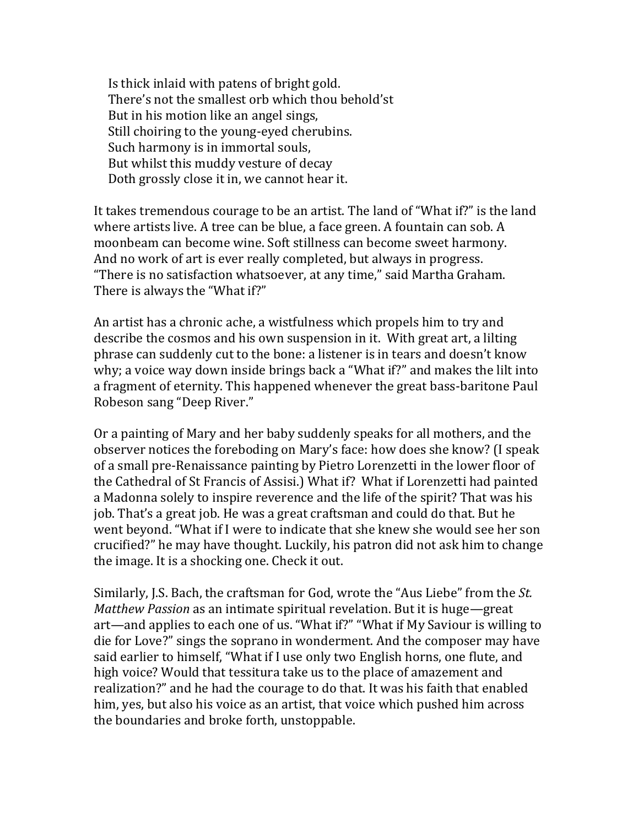Is thick inlaid with patens of bright gold. There's not the smallest orb which thou behold'st But in his motion like an angel sings, Still choiring to the young-eyed cherubins. Such harmony is in immortal souls, But whilst this muddy vesture of decay Doth grossly close it in, we cannot hear it.

It takes tremendous courage to be an artist. The land of "What if?" is the land where artists live. A tree can be blue, a face green. A fountain can sob. A moonbeam can become wine. Soft stillness can become sweet harmony. And no work of art is ever really completed, but always in progress. "There is no satisfaction whatsoever, at any time," said Martha Graham. There is always the "What if?"

An artist has a chronic ache, a wistfulness which propels him to try and describe the cosmos and his own suspension in it. With great art, a lilting phrase can suddenly cut to the bone: a listener is in tears and doesn't know why; a voice way down inside brings back a "What if?" and makes the lilt into a fragment of eternity. This happened whenever the great bass-baritone Paul Robeson sang "Deep River."

Or a painting of Mary and her baby suddenly speaks for all mothers, and the observer notices the foreboding on Mary's face: how does she know? (I speak of a small pre-Renaissance painting by Pietro Lorenzetti in the lower floor of the Cathedral of St Francis of Assisi.) What if? What if Lorenzetti had painted a Madonna solely to inspire reverence and the life of the spirit? That was his job. That's a great job. He was a great craftsman and could do that. But he went beyond. "What if I were to indicate that she knew she would see her son crucified?" he may have thought. Luckily, his patron did not ask him to change the image. It is a shocking one. Check it out.

Similarly, J.S. Bach, the craftsman for God, wrote the "Aus Liebe" from the *St. Matthew Passion* as an intimate spiritual revelation. But it is huge—great art—and applies to each one of us. "What if?" "What if My Saviour is willing to die for Love?" sings the soprano in wonderment. And the composer may have said earlier to himself, "What if I use only two English horns, one flute, and high voice? Would that tessitura take us to the place of amazement and realization?" and he had the courage to do that. It was his faith that enabled him, yes, but also his voice as an artist, that voice which pushed him across the boundaries and broke forth, unstoppable.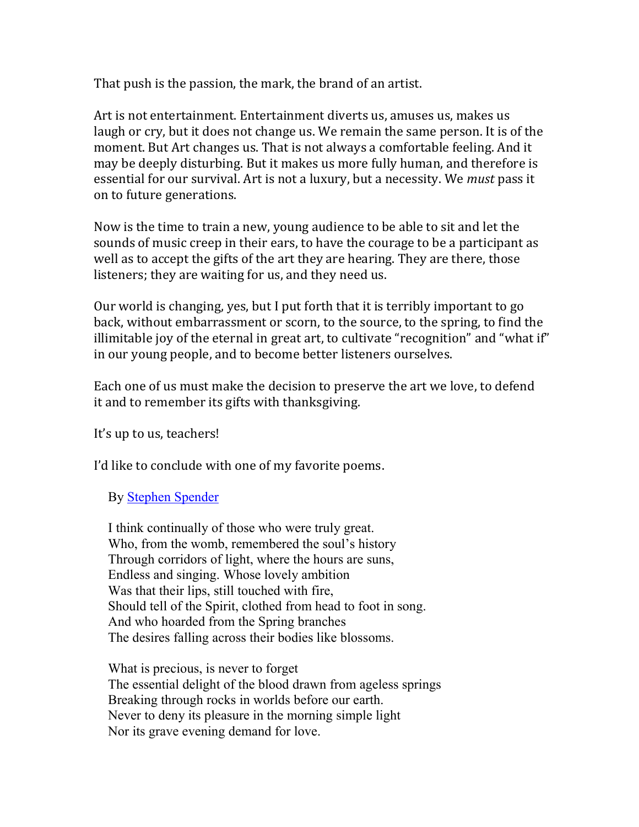That push is the passion, the mark, the brand of an artist.

Art is not entertainment. Entertainment diverts us, amuses us, makes us laugh or cry, but it does not change us. We remain the same person. It is of the moment. But Art changes us. That is not always a comfortable feeling. And it may be deeply disturbing. But it makes us more fully human, and therefore is essential for our survival. Art is not a luxury, but a necessity. We *must* pass it on to future generations.

Now is the time to train a new, young audience to be able to sit and let the sounds of music creep in their ears, to have the courage to be a participant as well as to accept the gifts of the art they are hearing. They are there, those listeners; they are waiting for us, and they need us.

Our world is changing, yes, but I put forth that it is terribly important to go back, without embarrassment or scorn, to the source, to the spring, to find the illimitable joy of the eternal in great art, to cultivate "recognition" and "what if" in our young people, and to become better listeners ourselves.

Each one of us must make the decision to preserve the art we love, to defend it and to remember its gifts with thanksgiving.

It's up to us, teachers!

I'd like to conclude with one of my favorite poems.

## By [Stephen Spender](http://www.poetryfoundation.org/bio/stephen-spender)

I think continually of those who were truly great. Who, from the womb, remembered the soul's history Through corridors of light, where the hours are suns, Endless and singing. Whose lovely ambition Was that their lips, still touched with fire, Should tell of the Spirit, clothed from head to foot in song. And who hoarded from the Spring branches The desires falling across their bodies like blossoms.

What is precious, is never to forget The essential delight of the blood drawn from ageless springs Breaking through rocks in worlds before our earth. Never to deny its pleasure in the morning simple light Nor its grave evening demand for love.